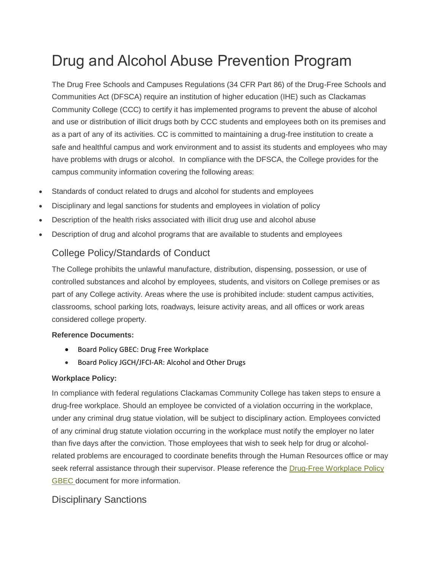# Drug and Alcohol Abuse Prevention Program

The Drug Free Schools and Campuses Regulations (34 CFR Part 86) of the Drug-Free Schools and Communities Act (DFSCA) require an institution of higher education (IHE) such as Clackamas Community College (CCC) to certify it has implemented programs to prevent the abuse of alcohol and use or distribution of illicit drugs both by CCC students and employees both on its premises and as a part of any of its activities. CC is committed to maintaining a drug-free institution to create a safe and healthful campus and work environment and to assist its students and employees who may have problems with drugs or alcohol. In compliance with the DFSCA, the College provides for the campus community information covering the following areas:

- Standards of conduct related to drugs and alcohol for students and employees
- Disciplinary and legal sanctions for students and employees in violation of policy
- Description of the health risks associated with illicit drug use and alcohol abuse
- Description of drug and alcohol programs that are available to students and employees

### College Policy/Standards of Conduct

The College prohibits the unlawful manufacture, distribution, dispensing, possession, or use of controlled substances and alcohol by employees, students, and visitors on College premises or as part of any College activity. Areas where the use is prohibited include: student campus activities, classrooms, school parking lots, roadways, leisure activity areas, and all offices or work areas considered college property.

#### **Reference Documents:**

- Board Policy GBEC: Drug Free Workplace
- Board Policy JGCH/JFCI-AR: Alcohol and Other Drugs

#### **Workplace Policy:**

In compliance with federal regulations Clackamas Community College has taken steps to ensure a drug-free workplace. Should an employee be convicted of a violation occurring in the workplace, under any criminal drug statue violation, will be subject to disciplinary action. Employees convicted of any criminal drug statute violation occurring in the workplace must notify the employer no later than five days after the conviction. Those employees that wish to seek help for drug or alcoholrelated problems are encouraged to coordinate benefits through the Human Resources office or may seek referral assistance through their supervisor. Please reference the [Drug-Free Workplace](https://www.cgcc.edu/sites/default/files/Title%20IV%20Consumer%20Information%20Disclosures.pdf) Policy GBEC document for more information.

### Disciplinary Sanctions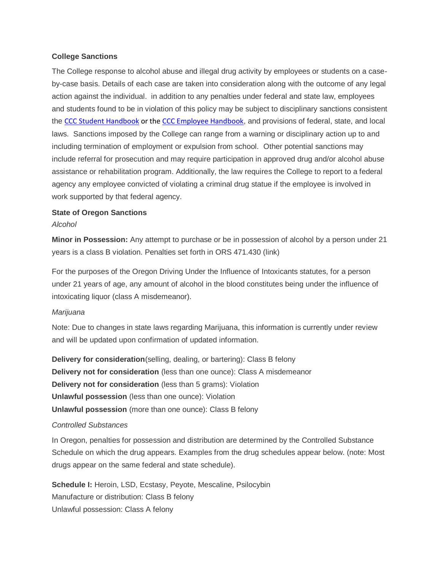#### **College Sanctions**

The College response to alcohol abuse and illegal drug activity by employees or students on a caseby-case basis. Details of each case are taken into consideration along with the outcome of any legal action against the individual. in addition to any penalties under federal and state law, employees and students found to be in violation of this policy may be subject to disciplinary sanctions consistent the [CCC Student Handbook](https://www.clackamas.edu/docs/default-source/general-forms-and-documents/studenthandbook.pdf?sfvrsn=53b3b468_12) or the [CCC Employee Handbook](https://www.clackamas.edu/about-us/ccc-jobs/employee-and-supervisor-information), and provisions of federal, state, and local laws. Sanctions imposed by the College can range from a warning or disciplinary action up to and including termination of employment or expulsion from school. Other potential sanctions may include referral for prosecution and may require participation in approved drug and/or alcohol abuse assistance or rehabilitation program. Additionally, the law requires the College to report to a federal agency any employee convicted of violating a criminal drug statue if the employee is involved in work supported by that federal agency.

#### **State of Oregon Sanctions**

#### *Alcohol*

**Minor in Possession:** Any attempt to purchase or be in possession of alcohol by a person under 21 years is a class B violation. Penalties set forth in ORS 471.430 (link)

For the purposes of the Oregon Driving Under the Influence of Intoxicants statutes, for a person under 21 years of age, any amount of alcohol in the blood constitutes being under the influence of intoxicating liquor (class A misdemeanor).

#### *Marijuana*

Note: Due to changes in state laws regarding Marijuana, this information is currently under review and will be updated upon confirmation of updated information.

**Delivery for consideration**(selling, dealing, or bartering): Class B felony **Delivery not for consideration** (less than one ounce): Class A misdemeanor **Delivery not for consideration** (less than 5 grams): Violation **Unlawful possession** (less than one ounce): Violation **Unlawful possession** (more than one ounce): Class B felony

#### *Controlled Substances*

In Oregon, penalties for possession and distribution are determined by the Controlled Substance Schedule on which the drug appears. Examples from the drug schedules appear below. (note: Most drugs appear on the same federal and state schedule).

**Schedule I:** Heroin, LSD, Ecstasy, Peyote, Mescaline, Psilocybin Manufacture or distribution: Class B felony Unlawful possession: Class A felony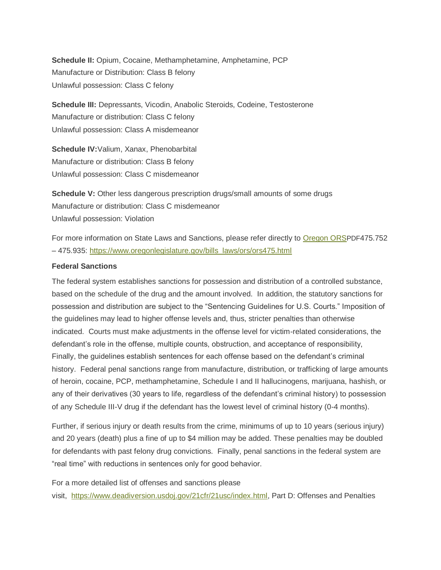**Schedule II:** Opium, Cocaine, Methamphetamine, Amphetamine, PCP Manufacture or Distribution: Class B felony Unlawful possession: Class C felony

**Schedule III:** Depressants, Vicodin, Anabolic Steroids, Codeine, Testosterone Manufacture or distribution: Class C felony Unlawful possession: Class A misdemeanor

**Schedule IV:**Valium, Xanax, Phenobarbital Manufacture or distribution: Class B felony Unlawful possession: Class C misdemeanor

**Schedule V:** Other less dangerous prescription drugs/small amounts of some drugs Manufacture or distribution: Class C misdemeanor Unlawful possession: Violation

For more information on State Laws and Sanctions, please refer directly to [Oregon ORS](file:///Q:/DAAPP/State%20ORS%20-%20Penalties.pdf)PDF475.752 – 475.935: [https://www.oregonlegislature.gov/bills\\_laws/ors/ors475.html](https://www.oregonlegislature.gov/bills_laws/ors/ors475.html)

#### **Federal Sanctions**

The federal system establishes sanctions for possession and distribution of a controlled substance, based on the schedule of the drug and the amount involved. In addition, the statutory sanctions for possession and distribution are subject to the "Sentencing Guidelines for U.S. Courts." Imposition of the guidelines may lead to higher offense levels and, thus, stricter penalties than otherwise indicated. Courts must make adjustments in the offense level for victim-related considerations, the defendant's role in the offense, multiple counts, obstruction, and acceptance of responsibility, Finally, the guidelines establish sentences for each offense based on the defendant's criminal history. Federal penal sanctions range from manufacture, distribution, or trafficking of large amounts of heroin, cocaine, PCP, methamphetamine, Schedule I and II hallucinogens, marijuana, hashish, or any of their derivatives (30 years to life, regardless of the defendant's criminal history) to possession of any Schedule III-V drug if the defendant has the lowest level of criminal history (0-4 months).

Further, if serious injury or death results from the crime, minimums of up to 10 years (serious injury) and 20 years (death) plus a fine of up to \$4 million may be added. These penalties may be doubled for defendants with past felony drug convictions. Finally, penal sanctions in the federal system are "real time" with reductions in sentences only for good behavior.

For a more detailed list of offenses and sanctions please visit, [https://www.deadiversion.usdoj.gov/21cfr/21usc/index.html,](https://www.deadiversion.usdoj.gov/21cfr/21usc/index.html) Part D: Offenses and Penalties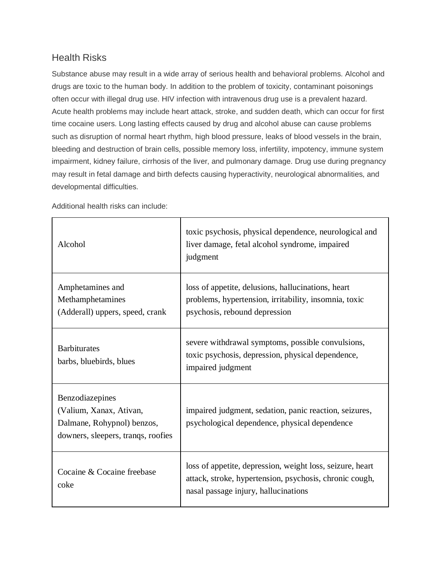### Health Risks

Г

Substance abuse may result in a wide array of serious health and behavioral problems. Alcohol and drugs are toxic to the human body. In addition to the problem of toxicity, contaminant poisonings often occur with illegal drug use. HIV infection with intravenous drug use is a prevalent hazard. Acute health problems may include heart attack, stroke, and sudden death, which can occur for first time cocaine users. Long lasting effects caused by drug and alcohol abuse can cause problems such as disruption of normal heart rhythm, high blood pressure, leaks of blood vessels in the brain, bleeding and destruction of brain cells, possible memory loss, infertility, impotency, immune system impairment, kidney failure, cirrhosis of the liver, and pulmonary damage. Drug use during pregnancy may result in fetal damage and birth defects causing hyperactivity, neurological abnormalities, and developmental difficulties.

Τ

| Alcohol                                                                                                        | toxic psychosis, physical dependence, neurological and<br>liver damage, fetal alcohol syndrome, impaired<br>judgment                                         |
|----------------------------------------------------------------------------------------------------------------|--------------------------------------------------------------------------------------------------------------------------------------------------------------|
| Amphetamines and<br>Methamphetamines<br>(Adderall) uppers, speed, crank                                        | loss of appetite, delusions, hallucinations, heart<br>problems, hypertension, irritability, insomnia, toxic<br>psychosis, rebound depression                 |
| <b>Barbiturates</b><br>barbs, bluebirds, blues                                                                 | severe withdrawal symptoms, possible convulsions,<br>toxic psychosis, depression, physical dependence,<br>impaired judgment                                  |
| Benzodiazepines<br>(Valium, Xanax, Ativan,<br>Dalmane, Rohypnol) benzos,<br>downers, sleepers, tranqs, roofies | impaired judgment, sedation, panic reaction, seizures,<br>psychological dependence, physical dependence                                                      |
| Cocaine & Cocaine freebase<br>coke                                                                             | loss of appetite, depression, weight loss, seizure, heart<br>attack, stroke, hypertension, psychosis, chronic cough,<br>nasal passage injury, hallucinations |

Additional health risks can include: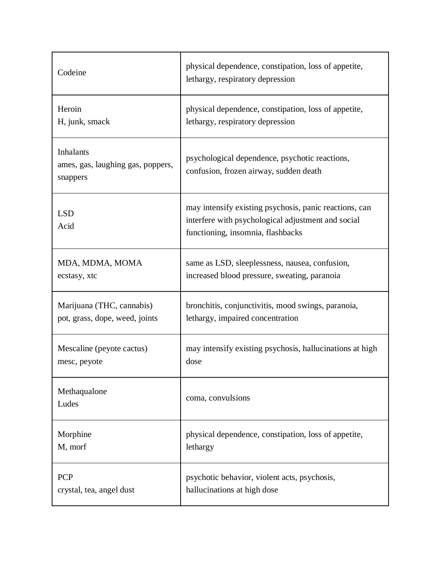| Codeine                                                           | physical dependence, constipation, loss of appetite,<br>lethargy, respiratory depression                                                          |
|-------------------------------------------------------------------|---------------------------------------------------------------------------------------------------------------------------------------------------|
| Heroin                                                            | physical dependence, constipation, loss of appetite,                                                                                              |
| H, junk, smack                                                    | lethargy, respiratory depression                                                                                                                  |
| <b>Inhalants</b><br>ames, gas, laughing gas, poppers,<br>snappers | psychological dependence, psychotic reactions,<br>confusion, frozen airway, sudden death                                                          |
| <b>LSD</b><br>Acid                                                | may intensify existing psychosis, panic reactions, can<br>interfere with psychological adjustment and social<br>functioning, insomnia, flashbacks |
| MDA, MDMA, MOMA                                                   | same as LSD, sleeplessness, nausea, confusion,                                                                                                    |
| ecstasy, xtc                                                      | increased blood pressure, sweating, paranoia                                                                                                      |
| Marijuana (THC, cannabis)                                         | bronchitis, conjunctivitis, mood swings, paranoia,                                                                                                |
| pot, grass, dope, weed, joints                                    | lethargy, impaired concentration                                                                                                                  |
| Mescaline (peyote cactus)                                         | may intensify existing psychosis, hallucinations at high                                                                                          |
| mesc, peyote                                                      | dose                                                                                                                                              |
| Methaqualone<br>Ludes                                             | coma, convulsions                                                                                                                                 |
| Morphine                                                          | physical dependence, constipation, loss of appetite,                                                                                              |
| M, morf                                                           | lethargy                                                                                                                                          |
| <b>PCP</b>                                                        | psychotic behavior, violent acts, psychosis,                                                                                                      |
| crystal, tea, angel dust                                          | hallucinations at high dose                                                                                                                       |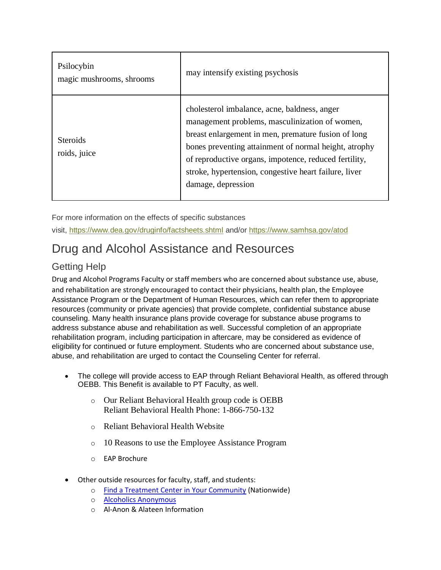| Psilocybin<br>magic mushrooms, shrooms | may intensify existing psychosis                                                                                                                                                                                                                                                                                                                       |
|----------------------------------------|--------------------------------------------------------------------------------------------------------------------------------------------------------------------------------------------------------------------------------------------------------------------------------------------------------------------------------------------------------|
| <b>Steroids</b><br>roids, juice        | cholesterol imbalance, acne, baldness, anger<br>management problems, masculinization of women,<br>breast enlargement in men, premature fusion of long<br>bones preventing attainment of normal height, atrophy<br>of reproductive organs, impotence, reduced fertility,<br>stroke, hypertension, congestive heart failure, liver<br>damage, depression |

For more information on the effects of specific substances visit, <https://www.dea.gov/druginfo/factsheets.shtml> and/or <https://www.samhsa.gov/atod>

## Drug and Alcohol Assistance and Resources

## Getting Help

Drug and Alcohol Programs Faculty or staff members who are concerned about substance use, abuse, and rehabilitation are strongly encouraged to contact their physicians, health plan, the Employee Assistance Program or the Department of Human Resources, which can refer them to appropriate resources (community or private agencies) that provide complete, confidential substance abuse counseling. Many health insurance plans provide coverage for substance abuse programs to address substance abuse and rehabilitation as well. Successful completion of an appropriate rehabilitation program, including participation in aftercare, may be considered as evidence of eligibility for continued or future employment. Students who are concerned about substance use, abuse, and rehabilitation are urged to contact the Counseling Center for referral.

- The college will provide access to EAP through Reliant Behavioral Health, as offered through OEBB. This Benefit is available to PT Faculty, as well.
	- o Our Reliant Behavioral Health group code is OEBB Reliant Behavioral Health Phone: 1-866-750-132
	- o [Reliant Behavioral](http://www.myrbh.com/) Health Website
	- o [10 Reasons to use the Employee Assistance Program](https://www.clackamas.edu/docs/default-source/about-us/hr-(jobs)/fringe-benefits/rbheaptop10reasonstousetheeapflyer2015.pdf?sfvrsn=f3f38b68_2)
	- o [EAP Brochure](https://www.clackamas.edu/docs/default-source/about-us/hr-(jobs)/fringe-benefits/eapbrochure.pdf?sfvrsn=fcf38b68_2)
- Other outside resources for faculty, staff, and students:
	- o [Find a Treatment Center in Your Community](http://alcoholism.about.com/cs/pro/a/blpro.htm *http:/www.alcoholscreening.org/Get-Help.aspx) (Nationwide)
	- o [Alcoholics Anonymous](http://www.portlandna.com/)
	- o [Al-Anon & Alateen Information](http://www.portlandna.com/)